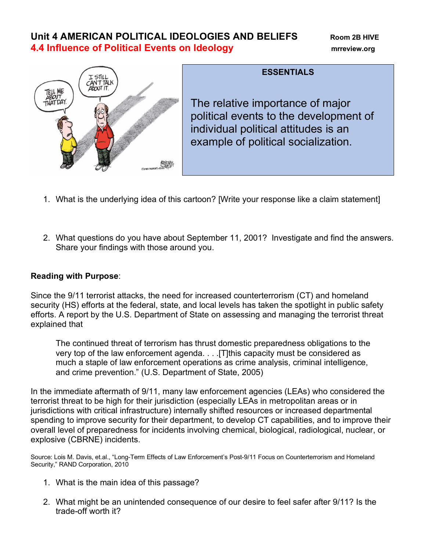# **Unit 4 AMERICAN POLITICAL IDEOLOGIES AND BELIEFS Room 2B HIVE 4.4 Influence of Political Events on Ideology mrreview.org**



# **ESSENTIALS**

The relative importance of major political events to the development of individual political attitudes is an example of political socialization.

- 1. What is the underlying idea of this cartoon? [Write your response like a claim statement]
- 2. What questions do you have about September 11, 2001? Investigate and find the answers. Share your findings with those around you.

#### **Reading with Purpose**:

Since the 9/11 terrorist attacks, the need for increased counterterrorism (CT) and homeland security (HS) efforts at the federal, state, and local levels has taken the spotlight in public safety efforts. A report by the U.S. Department of State on assessing and managing the terrorist threat explained that

The continued threat of terrorism has thrust domestic preparedness obligations to the very top of the law enforcement agenda. . . . [T]this capacity must be considered as much a staple of law enforcement operations as crime analysis, criminal intelligence, and crime prevention." (U.S. Department of State, 2005)

In the immediate aftermath of 9/11, many law enforcement agencies (LEAs) who considered the terrorist threat to be high for their jurisdiction (especially LEAs in metropolitan areas or in jurisdictions with critical infrastructure) internally shifted resources or increased departmental spending to improve security for their department, to develop CT capabilities, and to improve their overall level of preparedness for incidents involving chemical, biological, radiological, nuclear, or explosive (CBRNE) incidents.

Source: Lois M. Davis, et.al., "Long-Term Effects of Law Enforcement's Post-9/11 Focus on Counterterrorism and Homeland Security," RAND Corporation, 2010

- 1. What is the main idea of this passage?
- 2. What might be an unintended consequence of our desire to feel safer after 9/11? Is the trade-off worth it?